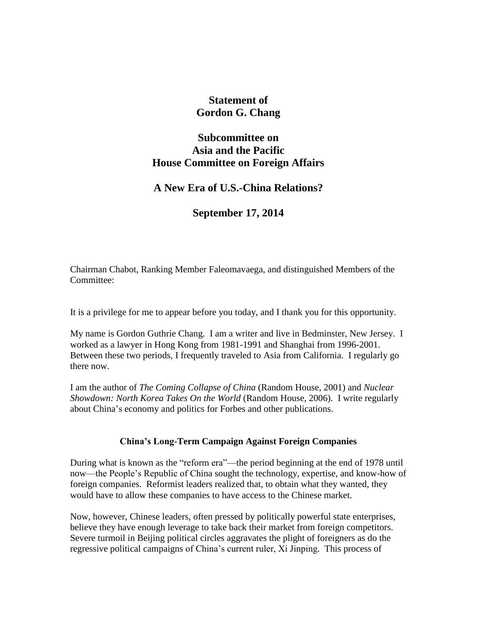# **Statement of Gordon G. Chang**

## **Subcommittee on Asia and the Pacific House Committee on Foreign Affairs**

## **A New Era of U.S.-China Relations?**

## **September 17, 2014**

Chairman Chabot, Ranking Member Faleomavaega, and distinguished Members of the Committee:

It is a privilege for me to appear before you today, and I thank you for this opportunity.

My name is Gordon Guthrie Chang. I am a writer and live in Bedminster, New Jersey. I worked as a lawyer in Hong Kong from 1981-1991 and Shanghai from 1996-2001. Between these two periods, I frequently traveled to Asia from California. I regularly go there now.

I am the author of *The Coming Collapse of China* (Random House, 2001) and *Nuclear Showdown: North Korea Takes On the World* (Random House, 2006). I write regularly about China's economy and politics for Forbes and other publications.

## **China's Long-Term Campaign Against Foreign Companies**

During what is known as the "reform era"—the period beginning at the end of 1978 until now—the People's Republic of China sought the technology, expertise, and know-how of foreign companies. Reformist leaders realized that, to obtain what they wanted, they would have to allow these companies to have access to the Chinese market.

Now, however, Chinese leaders, often pressed by politically powerful state enterprises, believe they have enough leverage to take back their market from foreign competitors. Severe turmoil in Beijing political circles aggravates the plight of foreigners as do the regressive political campaigns of China's current ruler, Xi Jinping. This process of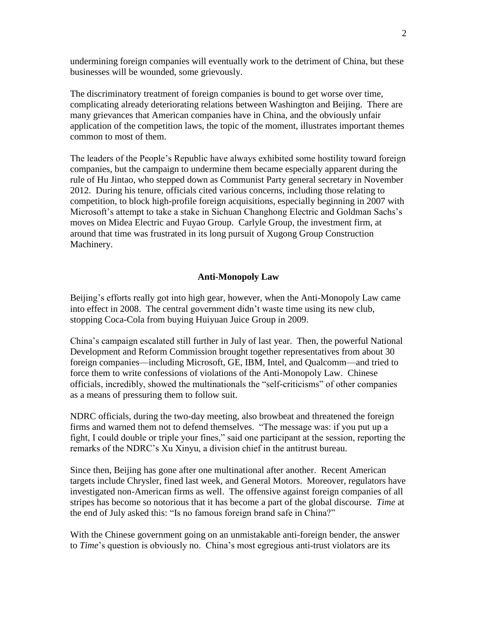undermining foreign companies will eventually work to the detriment of China, but these businesses will be wounded, some grievously.

The discriminatory treatment of foreign companies is bound to get worse over time, complicating already deteriorating relations between Washington and Beijing. There are many grievances that American companies have in China, and the obviously unfair application of the competition laws, the topic of the moment, illustrates important themes common to most of them.

The leaders of the People's Republic have always exhibited some hostility toward foreign companies, but the campaign to undermine them became especially apparent during the rule of Hu Jintao, who stepped down as Communist Party general secretary in November 2012. During his tenure, officials cited various concerns, including those relating to competition, to block high-profile foreign acquisitions, especially beginning in 2007 with Microsoft's attempt to take a stake in Sichuan Changhong Electric and Goldman Sachs's moves on Midea Electric and Fuyao Group. Carlyle Group, the investment firm, at around that time was frustrated in its long pursuit of Xugong Group Construction Machinery.

### **Anti-Monopoly Law**

Beijing's efforts really got into high gear, however, when the Anti-Monopoly Law came into effect in 2008. The central government didn't waste time using its new club, stopping Coca-Cola from buying Huiyuan Juice Group in 2009.

China's campaign escalated still further in July of last year. Then, the powerful National Development and Reform Commission brought together representatives from about 30 foreign companies—including Microsoft, GE, IBM, Intel, and Qualcomm—and tried to force them to write confessions of violations of the Anti-Monopoly Law. Chinese officials, incredibly, showed the multinationals the "self-criticisms" of other companies as a means of pressuring them to follow suit.

NDRC officials, during the two-day meeting, also browbeat and threatened the foreign firms and warned them not to defend themselves. "The message was: if you put up a fight, I could double or triple your fines," said one participant at the session, reporting the remarks of the NDRC's Xu Xinyu, a division chief in the antitrust bureau.

Since then, Beijing has gone after one multinational after another. Recent American targets include Chrysler, fined last week, and General Motors. Moreover, regulators have investigated non-American firms as well. The offensive against foreign companies of all stripes has become so notorious that it has become a part of the global discourse. *Time* at the end of July asked this: "Is no famous foreign brand safe in China?"

With the Chinese government going on an unmistakable anti-foreign bender, the answer to *Time*'s question is obviously no. China's most egregious anti-trust violators are its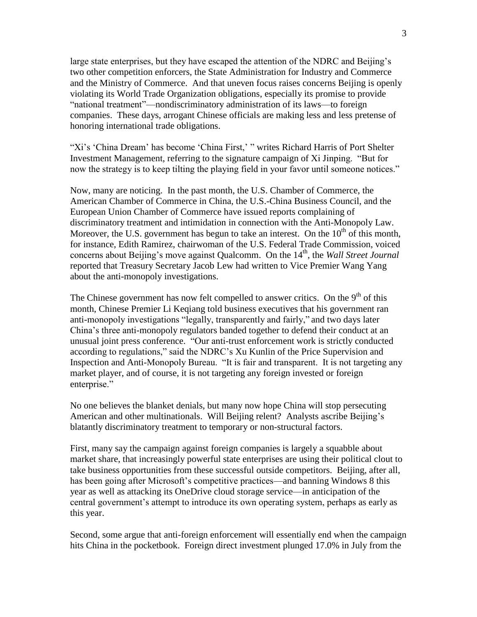large state enterprises, but they have escaped the attention of the NDRC and Beijing's two other competition enforcers, the State Administration for Industry and Commerce and the Ministry of Commerce. And that uneven focus raises concerns Beijing is openly violating its World Trade Organization obligations, especially its promise to provide "national treatment"—nondiscriminatory administration of its laws—to foreign companies. These days, arrogant Chinese officials are making less and less pretense of honoring international trade obligations.

"Xi's 'China Dream' has become 'China First,' " writes Richard Harris of Port Shelter Investment Management, referring to the signature campaign of Xi Jinping. "But for now the strategy is to keep tilting the playing field in your favor until someone notices."

Now, many are noticing. In the past month, the U.S. Chamber of Commerce, the American Chamber of Commerce in China, the U.S.-China Business Council, and the European Union Chamber of Commerce have issued reports complaining of discriminatory treatment and intimidation in connection with the Anti-Monopoly Law. Moreover, the U.S. government has begun to take an interest. On the  $10<sup>th</sup>$  of this month, for instance, Edith Ramirez, chairwoman of the U.S. Federal Trade Commission, voiced concerns about Beijing's move against Qualcomm. On the 14<sup>th</sup>, the *Wall Street Journal* reported that Treasury Secretary Jacob Lew had written to Vice Premier Wang Yang about the anti-monopoly investigations.

The Chinese government has now felt compelled to answer critics. On the  $9<sup>th</sup>$  of this month, Chinese Premier Li Keqiang told business executives that his government ran anti-monopoly investigations "legally, transparently and fairly," and two days later China's three anti-monopoly regulators banded together to defend their conduct at an unusual joint press conference. "Our anti-trust enforcement work is strictly conducted according to regulations," said the NDRC's Xu Kunlin of the Price Supervision and Inspection and Anti-Monopoly Bureau. "It is fair and transparent. It is not targeting any market player, and of course, it is not targeting any foreign invested or foreign enterprise."

No one believes the blanket denials, but many now hope China will stop persecuting American and other multinationals. Will Beijing relent? Analysts ascribe Beijing's blatantly discriminatory treatment to temporary or non-structural factors.

First, many say the campaign against foreign companies is largely a squabble about market share, that increasingly powerful state enterprises are using their political clout to take business opportunities from these successful outside competitors. Beijing, after all, has been going after Microsoft's competitive practices—and banning Windows 8 this year as well as attacking its OneDrive cloud storage service—in anticipation of the central government's attempt to introduce its own operating system, perhaps as early as this year.

Second, some argue that anti-foreign enforcement will essentially end when the campaign hits China in the pocketbook. Foreign direct investment plunged 17.0% in July from the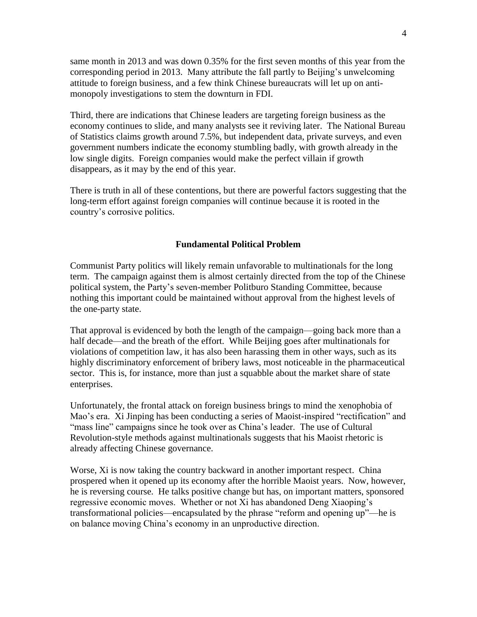same month in 2013 and was down 0.35% for the first seven months of this year from the corresponding period in 2013. Many attribute the fall partly to Beijing's unwelcoming attitude to foreign business, and a few think Chinese bureaucrats will let up on antimonopoly investigations to stem the downturn in FDI.

Third, there are indications that Chinese leaders are targeting foreign business as the economy continues to slide, and many analysts see it reviving later. The National Bureau of Statistics claims growth around 7.5%, but independent data, private surveys, and even government numbers indicate the economy stumbling badly, with growth already in the low single digits. Foreign companies would make the perfect villain if growth disappears, as it may by the end of this year.

There is truth in all of these contentions, but there are powerful factors suggesting that the long-term effort against foreign companies will continue because it is rooted in the country's corrosive politics.

### **Fundamental Political Problem**

Communist Party politics will likely remain unfavorable to multinationals for the long term. The campaign against them is almost certainly directed from the top of the Chinese political system, the Party's seven-member Politburo Standing Committee, because nothing this important could be maintained without approval from the highest levels of the one-party state.

That approval is evidenced by both the length of the campaign—going back more than a half decade—and the breath of the effort. While Beijing goes after multinationals for violations of competition law, it has also been harassing them in other ways, such as its highly discriminatory enforcement of bribery laws, most noticeable in the pharmaceutical sector. This is, for instance, more than just a squabble about the market share of state enterprises.

Unfortunately, the frontal attack on foreign business brings to mind the xenophobia of Mao's era. Xi Jinping has been conducting a series of Maoist-inspired "rectification" and "mass line" campaigns since he took over as China's leader. The use of Cultural Revolution-style methods against multinationals suggests that his Maoist rhetoric is already affecting Chinese governance.

Worse, Xi is now taking the country backward in another important respect. China prospered when it opened up its economy after the horrible Maoist years. Now, however, he is reversing course. He talks positive change but has, on important matters, sponsored regressive economic moves. Whether or not Xi has abandoned Deng Xiaoping's transformational policies—encapsulated by the phrase "reform and opening up"—he is on balance moving China's economy in an unproductive direction.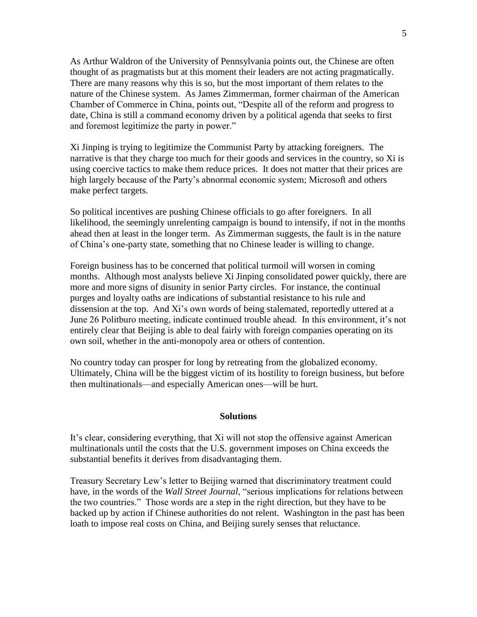As Arthur Waldron of the University of Pennsylvania points out, the Chinese are often thought of as pragmatists but at this moment their leaders are not acting pragmatically. There are many reasons why this is so, but the most important of them relates to the nature of the Chinese system. As James Zimmerman, former chairman of the American Chamber of Commerce in China, points out, "Despite all of the reform and progress to date, China is still a command economy driven by a political agenda that seeks to first and foremost legitimize the party in power."

Xi Jinping is trying to legitimize the Communist Party by attacking foreigners. The narrative is that they charge too much for their goods and services in the country, so Xi is using coercive tactics to make them reduce prices. It does not matter that their prices are high largely because of the Party's abnormal economic system; Microsoft and others make perfect targets.

So political incentives are pushing Chinese officials to go after foreigners. In all likelihood, the seemingly unrelenting campaign is bound to intensify, if not in the months ahead then at least in the longer term. As Zimmerman suggests, the fault is in the nature of China's one-party state, something that no Chinese leader is willing to change.

Foreign business has to be concerned that political turmoil will worsen in coming months. Although most analysts believe Xi Jinping consolidated power quickly, there are more and more signs of disunity in senior Party circles. For instance, the continual purges and loyalty oaths are indications of substantial resistance to his rule and dissension at the top. And Xi's own words of being stalemated, reportedly uttered at a June 26 Politburo meeting, indicate continued trouble ahead. In this environment, it's not entirely clear that Beijing is able to deal fairly with foreign companies operating on its own soil, whether in the anti-monopoly area or others of contention.

No country today can prosper for long by retreating from the globalized economy. Ultimately, China will be the biggest victim of its hostility to foreign business, but before then multinationals—and especially American ones—will be hurt.

#### **Solutions**

It's clear, considering everything, that Xi will not stop the offensive against American multinationals until the costs that the U.S. government imposes on China exceeds the substantial benefits it derives from disadvantaging them.

Treasury Secretary Lew's letter to Beijing warned that discriminatory treatment could have, in the words of the *Wall Street Journal*, "serious implications for relations between the two countries." Those words are a step in the right direction, but they have to be backed up by action if Chinese authorities do not relent. Washington in the past has been loath to impose real costs on China, and Beijing surely senses that reluctance.